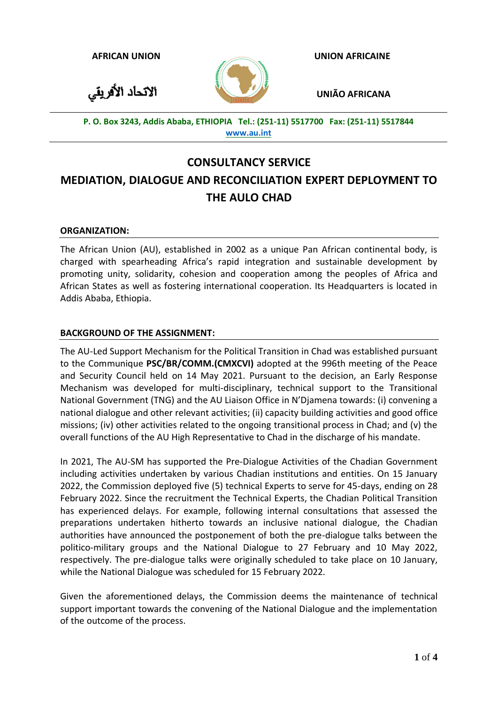**AFRICAN UNION**

الاتحاد الأفريقي

 **UNION AFRICAINE**

 **UNIÃO AFRICANA**

**P. O. Box 3243, Addis Ababa, ETHIOPIA Tel.: (251-11) 5517700 Fax: (251-11) 5517844 [www.au.int](http://www.au.int/)**

# **CONSULTANCY SERVICE**

# **MEDIATION, DIALOGUE AND RECONCILIATION EXPERT DEPLOYMENT TO THE AULO CHAD**

# **ORGANIZATION:**

The African Union (AU), established in 2002 as a unique Pan African continental body, is charged with spearheading Africa's rapid integration and sustainable development by promoting unity, solidarity, cohesion and cooperation among the peoples of Africa and African States as well as fostering international cooperation. Its Headquarters is located in Addis Ababa, Ethiopia.

# **BACKGROUND OF THE ASSIGNMENT:**

The AU-Led Support Mechanism for the Political Transition in Chad was established pursuant to the Communique **PSC/BR/COMM.(CMXCVI)** adopted at the 996th meeting of the Peace and Security Council held on 14 May 2021. Pursuant to the decision, an Early Response Mechanism was developed for multi-disciplinary, technical support to the Transitional National Government (TNG) and the AU Liaison Office in N'Djamena towards: (i) convening a national dialogue and other relevant activities; (ii) capacity building activities and good office missions; (iv) other activities related to the ongoing transitional process in Chad; and (v) the overall functions of the AU High Representative to Chad in the discharge of his mandate.

In 2021, The AU-SM has supported the Pre-Dialogue Activities of the Chadian Government including activities undertaken by various Chadian institutions and entities. On 15 January 2022, the Commission deployed five (5) technical Experts to serve for 45-days, ending on 28 February 2022. Since the recruitment the Technical Experts, the Chadian Political Transition has experienced delays. For example, following internal consultations that assessed the preparations undertaken hitherto towards an inclusive national dialogue, the Chadian authorities have announced the postponement of both the pre-dialogue talks between the politico-military groups and the National Dialogue to 27 February and 10 May 2022, respectively. The pre-dialogue talks were originally scheduled to take place on 10 January, while the National Dialogue was scheduled for 15 February 2022.

Given the aforementioned delays, the Commission deems the maintenance of technical support important towards the convening of the National Dialogue and the implementation of the outcome of the process.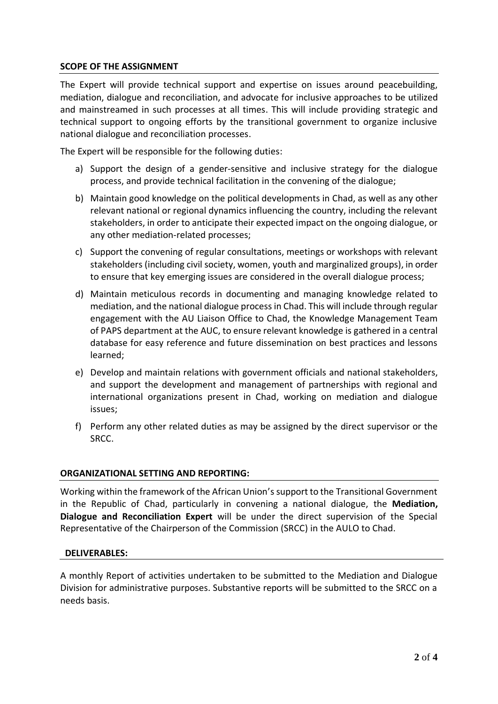# **SCOPE OF THE ASSIGNMENT**

The Expert will provide technical support and expertise on issues around peacebuilding, mediation, dialogue and reconciliation, and advocate for inclusive approaches to be utilized and mainstreamed in such processes at all times. This will include providing strategic and technical support to ongoing efforts by the transitional government to organize inclusive national dialogue and reconciliation processes.

The Expert will be responsible for the following duties:

- a) Support the design of a gender-sensitive and inclusive strategy for the dialogue process, and provide technical facilitation in the convening of the dialogue;
- b) Maintain good knowledge on the political developments in Chad, as well as any other relevant national or regional dynamics influencing the country, including the relevant stakeholders, in order to anticipate their expected impact on the ongoing dialogue, or any other mediation-related processes;
- c) Support the convening of regular consultations, meetings or workshops with relevant stakeholders (including civil society, women, youth and marginalized groups), in order to ensure that key emerging issues are considered in the overall dialogue process;
- d) Maintain meticulous records in documenting and managing knowledge related to mediation, and the national dialogue process in Chad. This will include through regular engagement with the AU Liaison Office to Chad, the Knowledge Management Team of PAPS department at the AUC, to ensure relevant knowledge is gathered in a central database for easy reference and future dissemination on best practices and lessons learned;
- e) Develop and maintain relations with government officials and national stakeholders, and support the development and management of partnerships with regional and international organizations present in Chad, working on mediation and dialogue issues;
- f) Perform any other related duties as may be assigned by the direct supervisor or the SRCC.

# **ORGANIZATIONAL SETTING AND REPORTING:**

Working within the framework of the African Union's support to the Transitional Government in the Republic of Chad, particularly in convening a national dialogue, the **Mediation, Dialogue and Reconciliation Expert** will be under the direct supervision of the Special Representative of the Chairperson of the Commission (SRCC) in the AULO to Chad.

# **DELIVERABLES:**

A monthly Report of activities undertaken to be submitted to the Mediation and Dialogue Division for administrative purposes. Substantive reports will be submitted to the SRCC on a needs basis.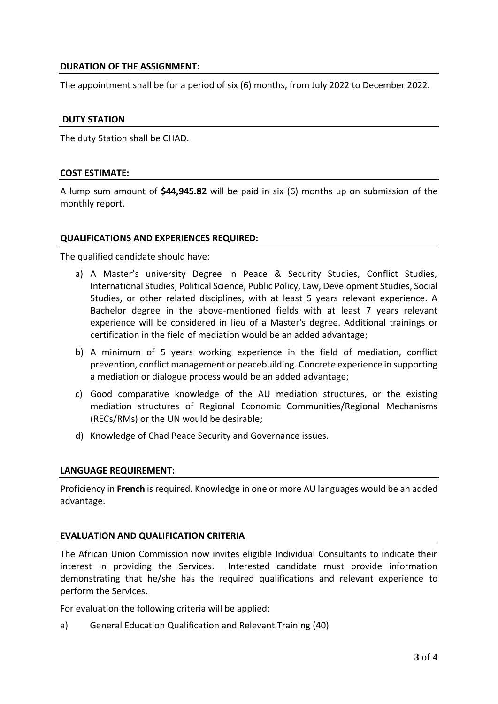# **DURATION OF THE ASSIGNMENT:**

The appointment shall be for a period of six (6) months, from July 2022 to December 2022.

#### **DUTY STATION**

The duty Station shall be CHAD.

#### **COST ESTIMATE:**

A lump sum amount of **\$44,945.82** will be paid in six (6) months up on submission of the monthly report.

#### **QUALIFICATIONS AND EXPERIENCES REQUIRED:**

The qualified candidate should have:

- a) A Master's university Degree in Peace & Security Studies, Conflict Studies, International Studies, Political Science, Public Policy, Law, Development Studies, Social Studies, or other related disciplines, with at least 5 years relevant experience. A Bachelor degree in the above-mentioned fields with at least 7 years relevant experience will be considered in lieu of a Master's degree. Additional trainings or certification in the field of mediation would be an added advantage;
- b) A minimum of 5 years working experience in the field of mediation, conflict prevention, conflict management or peacebuilding. Concrete experience in supporting a mediation or dialogue process would be an added advantage;
- c) Good comparative knowledge of the AU mediation structures, or the existing mediation structures of Regional Economic Communities/Regional Mechanisms (RECs/RMs) or the UN would be desirable;
- d) Knowledge of Chad Peace Security and Governance issues.

# **LANGUAGE REQUIREMENT:**

Proficiency in **French** is required. Knowledge in one or more AU languages would be an added advantage.

# **EVALUATION AND QUALIFICATION CRITERIA**

The African Union Commission now invites eligible Individual Consultants to indicate their interest in providing the Services. Interested candidate must provide information demonstrating that he/she has the required qualifications and relevant experience to perform the Services.

For evaluation the following criteria will be applied:

a) General Education Qualification and Relevant Training (40)